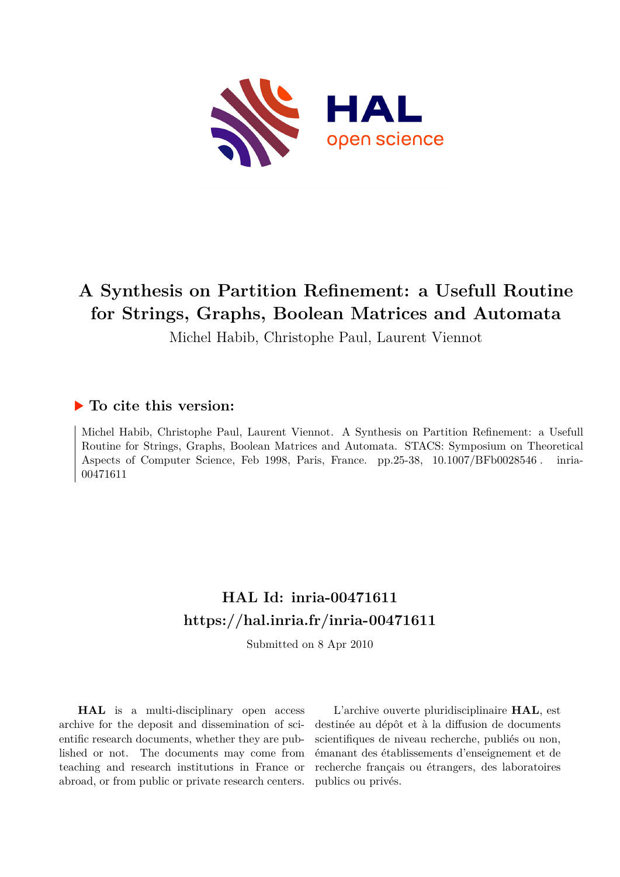

# **A Synthesis on Partition Refinement: a Usefull Routine for Strings, Graphs, Boolean Matrices and Automata**

Michel Habib, Christophe Paul, Laurent Viennot

# **To cite this version:**

Michel Habib, Christophe Paul, Laurent Viennot. A Synthesis on Partition Refinement: a Usefull Routine for Strings, Graphs, Boolean Matrices and Automata. STACS: Symposium on Theoretical Aspects of Computer Science, Feb 1998, Paris, France. pp.25-38, 10.1007/BFb0028546. inria-00471611ff

# **HAL Id: inria-00471611 <https://hal.inria.fr/inria-00471611>**

Submitted on 8 Apr 2010

**HAL** is a multi-disciplinary open access archive for the deposit and dissemination of scientific research documents, whether they are published or not. The documents may come from teaching and research institutions in France or abroad, or from public or private research centers.

L'archive ouverte pluridisciplinaire **HAL**, est destinée au dépôt et à la diffusion de documents scientifiques de niveau recherche, publiés ou non, émanant des établissements d'enseignement et de recherche français ou étrangers, des laboratoires publics ou privés.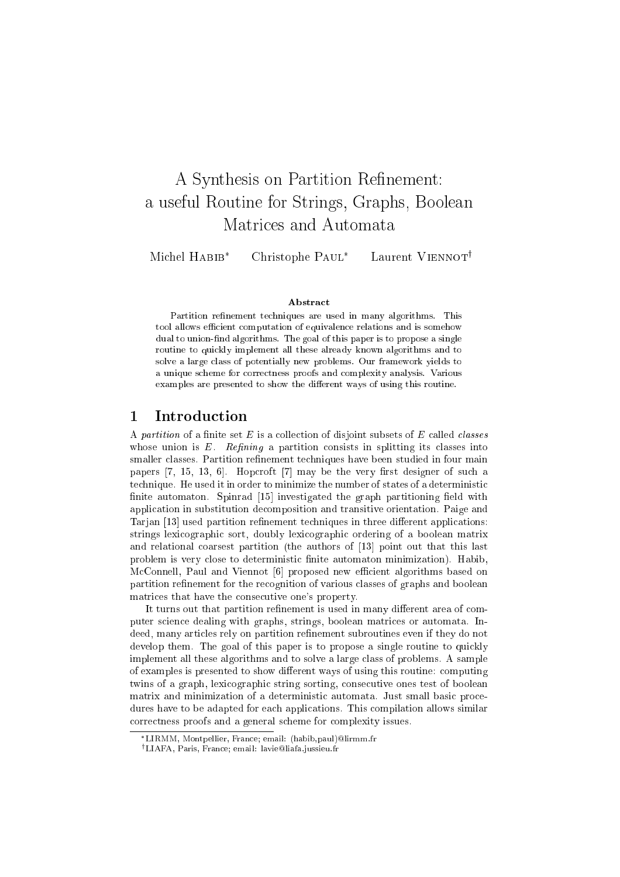# A Synthesis on Partition Renement: a useful Routine for Strings, Graphs, Boolean Matrices and Automata

Michel HABIB\*

Christophe PAUL\*

Laurent VIENNOT<sup>†</sup>

#### Abstract

Partition refinement techniques are used in many algorithms. This tool allows efficient computation of equivalence relations and is somehow dual to union-find algorithms. The goal of this paper is to propose a single routine to quickly implement all these already known algorithms and to solve a large class of potentially new problems. Our framework yields to a unique scheme for correctness proofs and complexity analysis. Various examples are presented to show the different ways of using this routine.

# 1 Introduction

A partition of a finite set  $E$  is a collection of disjoint subsets of  $E$  called *classes* whose union is  $E$ . Refining a partition consists in splitting its classes into smaller classes. Partition refinement techniques have been studied in four main papers  $[7, 15, 13, 6]$ . Hopcroft  $[7]$  may be the very first designer of such a technique. He used it in order to minimize the number of states of a deterministic finite automaton. Spinrad [15] investigated the graph partitioning field with application in substitution decomposition and transitive orientation. Paige and Tarjan [13] used partition refinement techniques in three different applications: strings lexicographic sort, doubly lexicographic ordering of a boolean matrix and relational coarsest partition (the authors of [13] point out that this last problem is very close to deterministic finite automaton minimization). Habib, McConnell, Paul and Viennot [6] proposed new efficient algorithms based on partition refinement for the recognition of various classes of graphs and boolean matrices that have the consecutive one's property.

It turns out that partition refinement is used in many different area of computer science dealing with graphs, strings, boolean matrices or automata. Indeed, many articles rely on partition refinement subroutines even if they do not develop them. The goal of this paper is to propose a single routine to quickly implement all these algorithms and to solve a large class of problems. A sample of examples is presented to show different ways of using this routine: computing twins of a graph, lexicographic string sorting, consecutive ones test of boolean matrix and minimization of a deterministic automata. Just small basic procedures have to be adapted for each applications. This compilation allows similar correctness proofs and a general scheme for complexity issues.

LIRMM, Montpellier, France; email: (habib,paul)@lirmm.fr

<sup>†</sup>LIAFA, Paris, France; email: lavie@liafa.jussieu.fr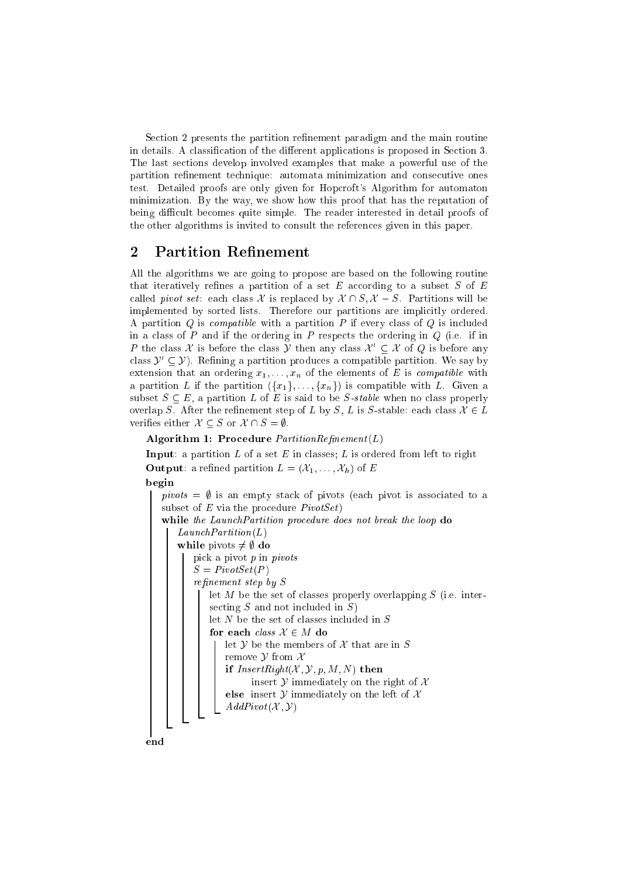Section 2 presents the partition refinement paradigm and the main routine in details. A classification of the different applications is proposed in Section 3. The last sections develop involved examples that make a powerful use of the partition refinement technique: automata minimization and consecutive ones test. Detailed proofs are only given for Hopcroft's Algorithm for automaton minimization. By the way, we show how this proof that has the reputation of being difficult becomes quite simple. The reader interested in detail proofs of the other algorithms is invited to consult the references given in this paper.

## 2 Partition Refinement

All the algorithms we are going to propose are based on the following routine that iteratively refines a partition of a set E according to a subset S of  $E$ called *pivot set*: each class X is replaced by  $X \cap S$ ,  $X - S$ . Partitions will be implemented by sorted lists. Therefore our partitions are implicitly ordered. A partition  $Q$  is *compatible* with a partition  $P$  if every class of  $Q$  is included in a class of  $P$  and if the ordering in  $P$  respects the ordering in  $Q$  (i.e. if in P the class X is before the class Y then any class  $\mathcal{X}' \subseteq \mathcal{X}$  of Q is before any class  $\mathcal{Y}' \subset \mathcal{Y}$ ). Refining a partition produces a compatible partition. We say by extension that an ordering  $x_1, \ldots, x_n$  of the elements of E is *compatible* with a partition L if the partition  $({x_1},..., {x_n})$  is compatible with L. Given a subset  $S \subseteq E$ , a partition L of E is said to be S-stable when no class properly overlap S. After the refinement step of L by S, L is S-stable: each class  $\mathcal{X} \in L$ verifies either  $\mathcal{X} \subset S$  or  $\mathcal{X} \cap S = \emptyset$ .

```
Algorithm 1: Procedure PartitionRefinement(L)
```
**Input:** a partition  $L$  of a set  $E$  in classes;  $L$  is ordered from left to right **Output**: a refined partition  $L = (\mathcal{X}_1, \ldots, \mathcal{X}_h)$  of E

begin

```
pivots = \emptyset is an empty stack of pivots (each pivot is associated to a
subset of E via the procedure PivotSetwhile the LaunchPartition procedure does not break the loop do
    LaunchPartition(L)while pivots \neq \emptyset do
       pick a pivot p in pivots
       S = PivotSet(P)refinement\ step\ by\ Slet M be the set of classes properly overlapping S (i.e. inter-
           secting S and not included in S)
           let N be the set of classes included in {\cal S}for each class X \in M do
               let Y be the members of X that are in Sremove \mathcal Y from \mathcal Xif InsertRight(X, Y, p, M, N) then
                     insert Y immediately on the right of Xelse insert Y immediately on the left of XAddPivot(X, Y)end
```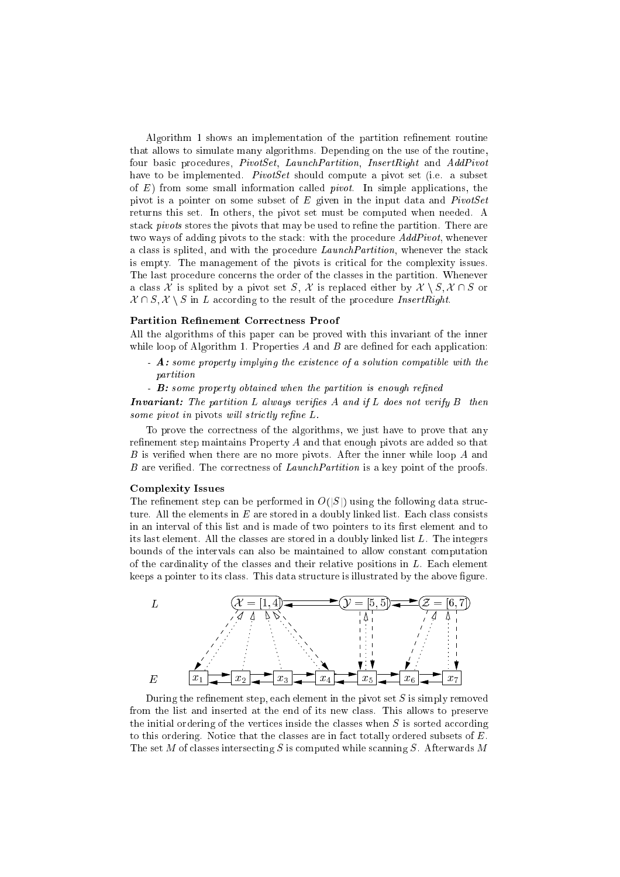Algorithm 1 shows an implementation of the partition refinement routine that allows to simulate many algorithms. Depending on the use of the routine, four basic procedures, *PivotSet*, *LaunchPartition*, *InsertRight* and *AddPivot* have to be implemented. PivotSet should compute a pivot set (i.e. a subset of  $E$ ) from some small information called *pivot*. In simple applications, the pivot is a pointer on some subset of  $E$  given in the input data and  $PivotSet$ returns this set. In others, the pivot set must be computed when needed. A stack *pivots* stores the pivots that may be used to refine the partition. There are two ways of adding pivots to the stack: with the procedure AddPivot, whenever a class is splited, and with the procedure LaunchPartition, whenever the stack is empty. The management of the pivots is critical for the complexity issues. The last procedure concerns the order of the classes in the partition. Whenever a class X is splited by a pivot set S, X is replaced either by  $X \setminus S, X \cap S$  or  $\mathcal{X} \cap S$ ,  $\mathcal{X} \setminus S$  in L according to the result of the procedure InsertRight.

#### Partition Refinement Correctness Proof

All the algorithms of this paper can be proved with this invariant of the inner while loop of Algorithm 1. Properties  $A$  and  $B$  are defined for each application:

- A: some property implying the existence of a solution compatible with the partition
- **B**: some property obtained when the partition is enough refined

**Invariant:** The partition L always verifies A and if L does not verify  $B$  then some pivot in pivots will strictly refine  $L$ .

To prove the correctness of the algorithms, we just have to prove that any refinement step maintains Property  $A$  and that enough pivots are added so that B is verified when there are no more pivots. After the inner while loop A and  $B$  are verified. The correctness of  $LaunchPartition$  is a key point of the proofs.

#### Complexity Issues

The refinement step can be performed in  $O(|S|)$  using the following data structure. All the elements in  $E$  are stored in a doubly linked list. Each class consists in an interval of this list and is made of two pointers to its first element and to its last element. All the classes are stored in a doubly linked list L. The integers bounds of the intervals can also be maintained to allow constant computation of the cardinality of the classes and their relative positions in L. Each element keeps a pointer to its class. This data structure is illustrated by the above figure.



During the refinement step, each element in the pivot set  $S$  is simply removed from the list and inserted at the end of its new class. This allows to preserve the initial ordering of the vertices inside the classes when  $S$  is sorted according to this ordering. Notice that the classes are in fact totally ordered subsets of  $E$ . The set M of classes intersecting S is computed while scanning S. Afterwards M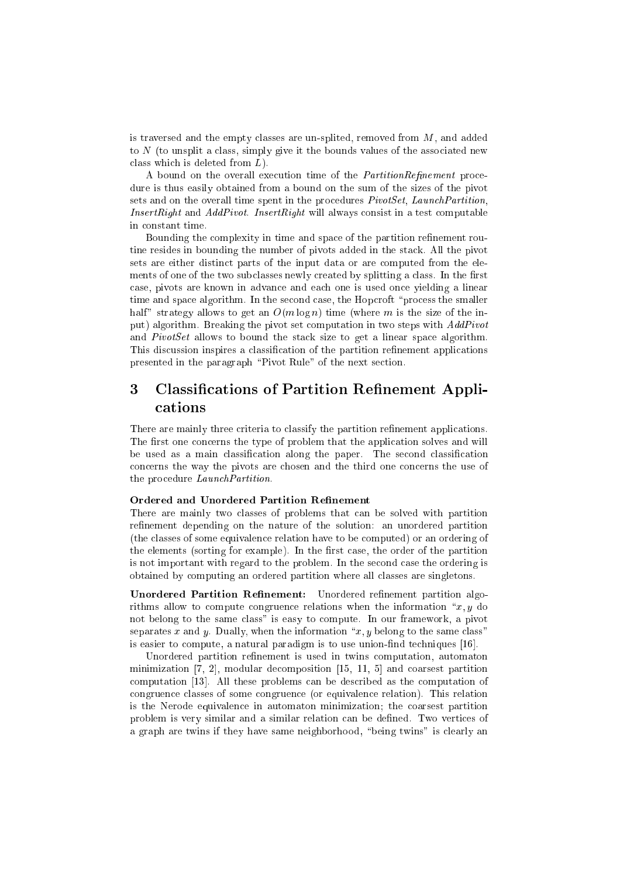is traversed and the empty classes are un-splited, removed from  $M$ , and added to N (to unsplit a class, simply give it the bounds values of the associated new class which is deleted from L).

A bound on the overall execution time of the *PartitionRefinement* procedure is thus easily obtained from a bound on the sum of the sizes of the pivot sets and on the overall time spent in the procedures PivotSet, LaunchPartition, *InsertRight* and  $AddPivot$ . *InsertRight* will always consist in a test computable in constant time.

Bounding the complexity in time and space of the partition refinement routine resides in bounding the number of pivots added in the stack. All the pivot sets are either distinct parts of the input data or are computed from the elements of one of the two subclasses newly created by splitting a class. In the first case, pivots are known in advance and each one is used once yielding a linear time and space algorithm. In the second case, the Hopcroft "process the smaller half" strategy allows to get an  $O(m \log n)$  time (where m is the size of the input) algorithm. Breaking the pivot set computation in two steps with AddPivot and  $PivotSet$  allows to bound the stack size to get a linear space algorithm. This discussion inspires a classification of the partition refinement applications presented in the paragraph \Pivot Rule" of the next section.

# 3 Classifications of Partition Refinement Applications

There are mainly three criteria to classify the partition refinement applications. The first one concerns the type of problem that the application solves and will be used as a main classification along the paper. The second classification concerns the way the pivots are chosen and the third one concerns the use of the procedure *LaunchPartition*.

### Ordered and Unordered Partition Refinement

There are mainly two classes of problems that can be solved with partition refinement depending on the nature of the solution: an unordered partition (the classes of some equivalence relation have to be computed) or an ordering of the elements (sorting for example). In the first case, the order of the partition is not important with regard to the problem. In the second case the ordering is obtained by computing an ordered partition where all classes are singletons.

Unordered Partition Refinement: Unordered refinement partition algorithms allow to compute congruence relations when the information  $\mathscr{X}, y$  do not belong to the same class" is easy to compute. In our framework, a pivot separates x and y. Dually, when the information " $x, y$  belong to the same class" is easier to compute, a natural paradigm is to use union-find techniques [16].

Unordered partition refinement is used in twins computation, automaton minimization [7, 2], modular decomposition [15, 11, 5] and coarsest partition computation [13]. All these problems can be described as the computation of congruence classes of some congruence (or equivalence relation). This relation is the Nerode equivalence in automaton minimization; the coarsest partition problem is very similar and a similar relation can be dened. Two vertices of a graph are twins if they have same neighborhood, "being twins" is clearly an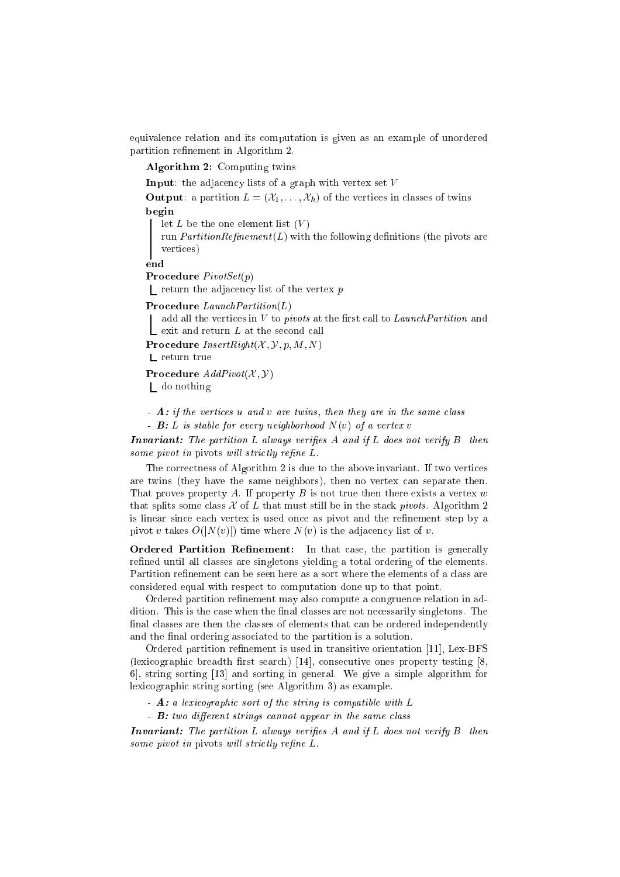equivalence relation and its computation is given as an example of unordered partition refinement in Algorithm 2.

Algorithm 2: Computing twins

**Input:** the adjacency lists of a graph with vertex set  $V$ 

**Output:** a partition  $L = (\mathcal{X}_1, \ldots, \mathcal{X}_h)$  of the vertices in classes of twins begin

let  $L$  be the one element list  $(V)$ 

run *PartitionRefinement*( $L$ ) with the following definitions (the pivots are vertices)

end

Procedure PivotSet(p)

I return the adjacency list of the vertex  $p$ 

Procedure  $LaunchPartition(L)$ 

add all the vertices in  $V$  to *pivots* at the first call to *LaunchPartition* and  $\mathsf{\mathsf{L}}$  exit and return L at the second call

**Procedure**  $InsertRight(X, Y, p, M, N)$ 

 $\mathrel{\mathsf{L}}$  return true

**Procedure**  $AddPivot(X, Y)$ 

do nothing

 $-$  A: if the vertices u and v are twins, then they are in the same class

-  $\mathbf{B}$ : L is stable for every neighborhood  $N(v)$  of a vertex v

**Invariant:** The partition  $L$  always verifies  $A$  and if  $L$  does not verify  $B$  then some pivot in pivots will strictly refine  $L$ .

The correctness of Algorithm 2 is due to the above invariant. If two vertices are twins (they have the same neighbors), then no vertex can separate then. That proves property A. If property B is not true then there exists a vertex  $w$ that splits some class  $\mathcal X$  of  $L$  that must still be in the stack pivots. Algorithm 2 is linear since each vertex is used once as pivot and the refinement step by a pivot v takes  $O(|N(v)|)$  time where  $N(v)$  is the adjacency list of v.

Ordered Partition Refinement: In that case, the partition is generally refined until all classes are singletons yielding a total ordering of the elements. Partition refinement can be seen here as a sort where the elements of a class are considered equal with respect to computation done up to that point.

Ordered partition refinement may also compute a congruence relation in addition. This is the case when the final classes are not necessarily singletons. The final classes are then the classes of elements that can be ordered independently and the final ordering associated to the partition is a solution.

Ordered partition refinement is used in transitive orientation [11], Lex-BFS (lexicographic breadth first search) [14], consecutive ones property testing  $[8,$ 6], string sorting [13] and sorting in general. We give a simple algorithm for lexicographic string sorting (see Algorithm 3) as example.

- A: a lexicographic sort of the string is compatible with L
- $B: two different strings cannot appear in the same class$

**Invariant:** The partition L always verifies A and if L does not verify  $B$  then some pivot in pivots will strictly refine  $L$ .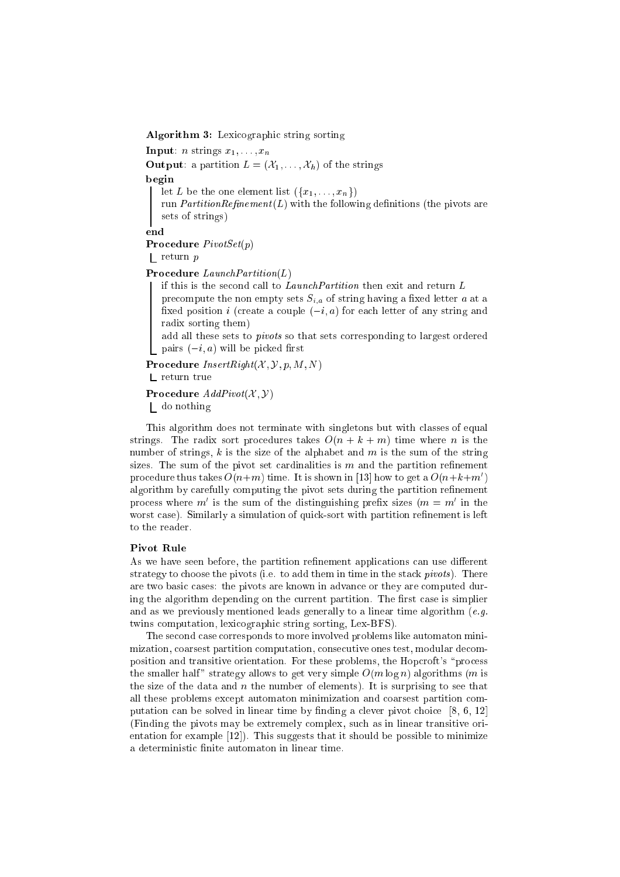Algorithm 3: Lexicographic string sorting

**Input**: *n* strings  $x_1, \ldots, x_n$ 

**Output:** a partition  $L = (\mathcal{X}_1, \ldots, \mathcal{X}_h)$  of the strings begin let L be the one element list  $({x_1},...,x_n)$ run *PartitionRefinement* ( $L$ ) with the following definitions (the pivots are sets of strings)

end

Procedure PivotSet(p)

return p

Procedure LaunchPartition(L)

if this is the second call to LaunchPartition then exit and return L precompute the non empty sets  $S_{i,a}$  of string having a fixed letter a at a fixed position *i* (create a couple  $(-i, a)$  for each letter of any string and radix sorting them)

add all these sets to pivots so that sets corresponding to largest ordered pairs  $(-i, a)$  will be picked first

Procedure  $InsertRight(X, Y, p, M, N)$ 

 $L$  return true

Procedure  $AddPivot(X, Y)$ 

do nothing

This algorithm does not terminate with singletons but with classes of equal strings. The radix sort procedures takes  $O(n + k + m)$  time where n is the number of strings, k is the size of the alphabet and  $m$  is the sum of the string sizes. The sum of the pivot set cardinalities is  $m$  and the partition refinement procedure thus takes  $O(n+m)$  time. It is shown in [13] how to get a  $O(n+k+m')$ algorithm by carefully computing the pivot sets during the partition refinement process where  $m$  is the sum of the distinguishing prefix sizes ( $m = m$ ) in the worst case). Similarly a simulation of quick-sort with partition refinement is left to the reader.

### Pivot Rule

As we have seen before, the partition refinement applications can use different strategy to choose the pivots (i.e. to add them in time in the stack *pivots*). There are two basic cases: the pivots are known in advance or they are computed during the algorithm depending on the current partition. The first case is simplier and as we previously mentioned leads generally to a linear time algorithm  $(e.g.$ twins computation, lexicographic string sorting, Lex-BFS).

The second case corresponds to more involved problems like automaton minimization, coarsest partition computation, consecutive ones test, modular decomposition and transitive orientation. For these problems, the Hopcroft's "process the smaller half" strategy allows to get very simple  $O(m \log n)$  algorithms (m is the size of the data and n the number of elements). It is surprising to see that all these problems except automaton minimization and coarsest partition computation can be solved in linear time by finding a clever pivot choice  $[8, 6, 12]$ (Finding the pivots may be extremely complex, such as in linear transitive orientation for example [12]). This suggests that it should be possible to minimize a deterministic finite automaton in linear time.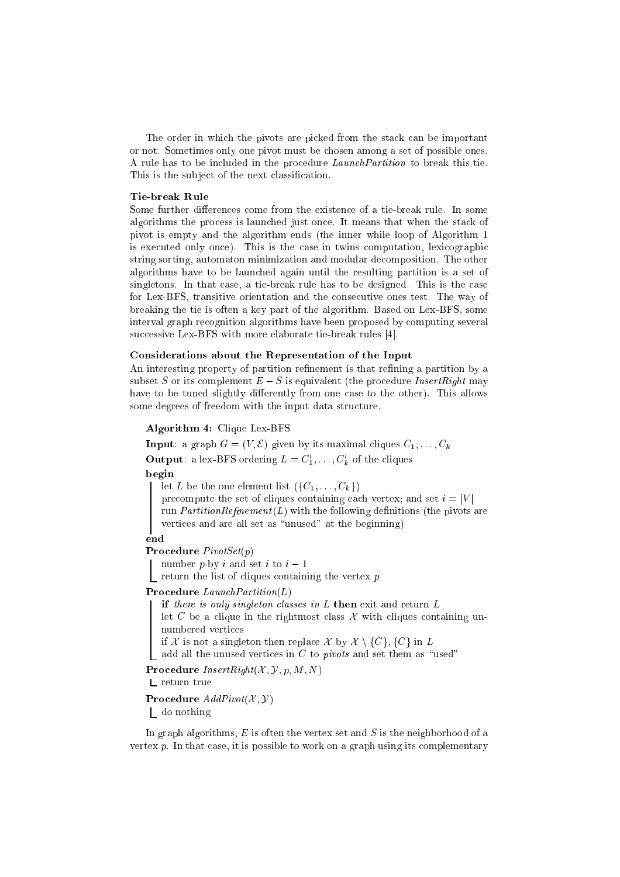The order in which the pivots are picked from the stack can be important or not. Sometimes only one pivot must be chosen among a set of possible ones. A rule has to be included in the procedure LaunchPartition to break this tie. This is the subject of the next classification.

### Tie-break Rule

Some further differences come from the existence of a tie-break rule. In some algorithms the process is launched just once. It means that when the stack of pivot is empty and the algorithm ends (the inner while loop of Algorithm 1 is executed only once). This is the case in twins computation, lexicographic string sorting, automaton minimization and modular decomposition. The other algorithms have to be launched again until the resulting partition is a set of singletons. In that case, a tie-break rule has to be designed. This is the case for Lex-BFS, transitive orientation and the consecutive ones test. The way of breaking the tie is often a key part of the algorithm. Based on Lex-BFS, some interval graph recognition algorithms have been proposed by computing several successive Lex-BFS with more elaborate tie-break rules [4].

#### Considerations about the Representation of the Input

An interesting property of partition refinement is that refining a partition by a subset S or its complement  $E-S$  is equivalent (the procedure *InsertRight* may have to be tuned slightly differently from one case to the other). This allows some degrees of freedom with the input data structure.

## Algorithm 4: Clique Lex-BFS

**Input**: a graph  $G = (V, \mathcal{E})$  given by its maximal cliques  $C_1, \ldots, C_k$ **Output:** a lex-BFS ordering  $L = C'_1, \ldots, C'_k$  of the cliques begin

let L be the one element list  $({C_1},\ldots,{C_k})$ 

precompute the set of cliques containing each vertex; and set  $i = |V|$ 

run *PartitionRefinement*( $L$ ) with the following definitions (the pivots are vertices and are all set as "unused" at the beginning)

## end

Procedure PivotSet(p)

number p by i and set i to  $i-1$ 

return the list of cliques containing the vertex  $p$ 

## Procedure LaunchPartition(L)

if there is only singleton classes in  $L$  then exit and return  $L$ let C be a clique in the rightmost class  $\mathcal X$  with cliques containing unnumbered vertices

if X is not a singleton then replace X by  $\mathcal{X} \setminus \{C\}$ ,  $\{C\}$  in L

add all the unused vertices in  $C$  to *pivots* and set them as "used"

## Procedure  $InsertRight(X, Y, p, M, N)$

L return true

Procedure  $AddPivot(X, Y)$ 

do nothing

In graph algorithms,  $E$  is often the vertex set and  $S$  is the neighborhood of a vertex  $p$ . In that case, it is possible to work on a graph using its complementary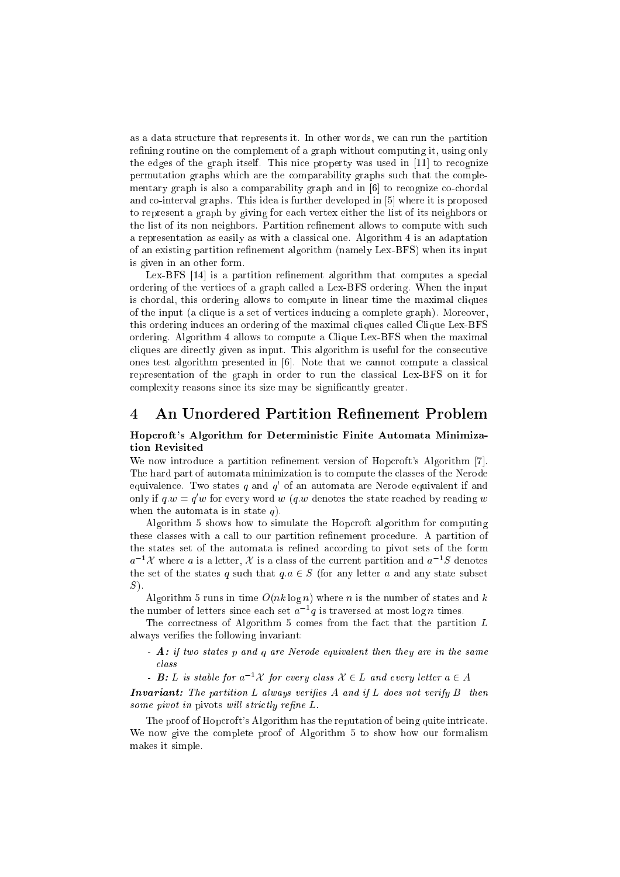as a data structure that represents it. In other words, we can run the partition refining routine on the complement of a graph without computing it, using only the edges of the graph itself. This nice property was used in [11] to recognize permutation graphs which are the comparability graphs such that the complementary graph is also a comparability graph and in [6] to recognize co-chordal and co-interval graphs. This idea is further developed in [5] where it is proposed to represent a graph by giving for each vertex either the list of its neighbors or the list of its non neighbors. Partition refinement allows to compute with such a representation as easily as with a classical one. Algorithm 4 is an adaptation of an existing partition refinement algorithm (namely Lex-BFS) when its input is given in an other form.

Lex-BFS [14] is a partition refinement algorithm that computes a special ordering of the vertices of a graph called a Lex-BFS ordering. When the input is chordal, this ordering allows to compute in linear time the maximal cliques of the input (a clique is a set of vertices inducing a complete graph). Moreover, this ordering induces an ordering of the maximal cliques called Clique Lex-BFS ordering. Algorithm 4 allows to compute a Clique Lex-BFS when the maximal cliques are directly given as input. This algorithm is useful for the consecutive ones test algorithm presented in [6]. Note that we cannot compute a classical representation of the graph in order to run the classical Lex-BFS on it for complexity reasons since its size may be signicantly greater.

## 4 An Unordered Partition Refinement Problem

## Hopcroft's Algorithm for Deterministic Finite Automata Minimization Revisited

We now introduce a partition refinement version of Hopcroft's Algorithm [7]. The hard part of automata minimization is to compute the classes of the Nerode equivalence. Two states  $q$  and  $q^\prime$  or an automata are Nerode equivalent if and only if  $q.w = q'w$  for every word  $w \ (q.w$  denotes the state reached by reading  $w$ when the automata is in state  $q$ ).

Algorithm 5 shows how to simulate the Hopcroft algorithm for computing these classes with a call to our partition refinement procedure. A partition of the states set of the automata is refined according to pivot sets of the form  $a^{-1}$  X where a is a letter, X is a class of the current partition and  $a^{-1}S$  denotes the set of the states q such that  $q.a \in S$  (for any letter a and any state subset  $S$ ).

Algorithm 5 runs in time  $O(nk \log n)$  where n is the number of states and k the number of letters since each set  $a^{-1}q$  is traversed at most log  $n$  times.

The correctness of Algorithm 5 comes from the fact that the partition L always verifies the following invariant:

- A: if two states p and q are Nerode equivalent then they are in the same class
- **B**: L is stable for  $a^{-1}X$  for every class  $X \in L$  and every letter  $a \in A$

**Invariant:** The partition L always verifies A and if L does not verify  $B$  then some pivot in pivots will strictly refine  $L$ .

The proof of Hopcroft's Algorithm has the reputation of being quite intricate. We now give the complete proof of Algorithm 5 to show how our formalism makes it simple.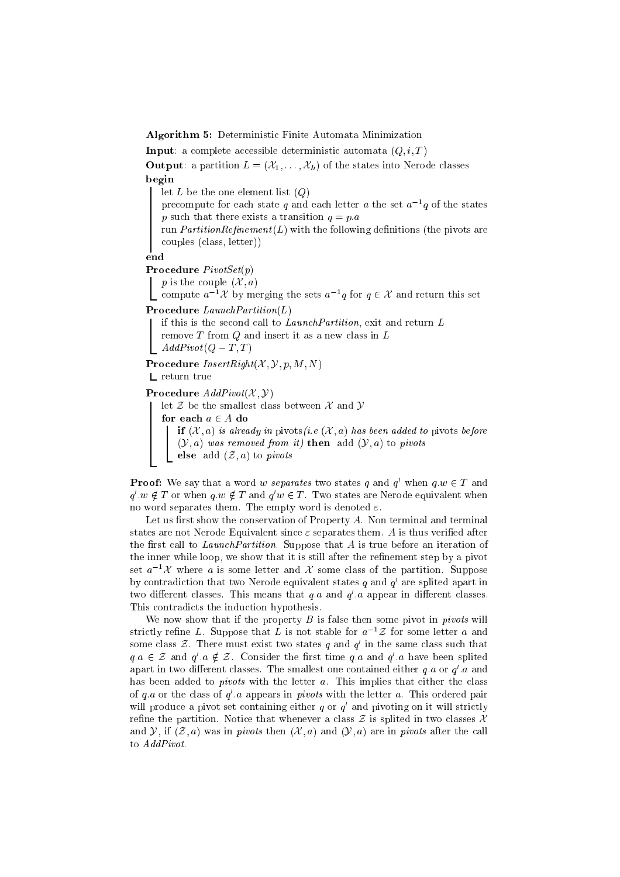Algorithm 5: Deterministic Finite Automata Minimization

**Input**: a complete accessible deterministic automata  $(Q, i, T)$ 

**Output:** a partition  $L = (\mathcal{X}_1, \ldots, \mathcal{X}_h)$  of the states into Nerode classes hegin  $\mathbf{b}$ 

let  $L$  be the one element list  $(Q)$ 

precompute for each state q and each letter  $a$  the set  $a^{-1}q$  of the states p such that there exists a transition  $q = p.a$ 

run *PartitionRefinement*( $L$ ) with the following definitions (the pivots are couples (class, letter))

end

Procedure PivotSet(p)

p is the couple  $(\mathcal{X}, a)$ 

compute  $a^{-1}$  $\mathcal X$  by merging the sets  $a^{-1}q$  for  $q \in \mathcal X$  and return this set

Procedure LaunchPartition(L)

if this is the second call to LaunchPartition, exit and return L remove  $T$  from  $Q$  and insert it as a new class in  $L$  $AddPivot(Q-T,T)$ 

Procedure  $InsertRight(X, Y, p, M, N)$ 

L return true

Procedure  $AddPivot(X, Y)$ 

let  $\mathcal Z$  be the smallest class between  $\mathcal X$  and  $\mathcal Y$ 

```
for each a \in A do
```
if  $(X, a)$  is already in pivots (i.e.  $(X, a)$  has been added to pivots before  $(y, a)$  was removed from it) then add  $(y, a)$  to pivots

else add  $(z, a)$  to pivots

**Proof:** We say that a word w separates two states q and q' when  $q.w \in T$  and  $q'.w \notin T$  or when  $q.w \notin T$  and  $q'w \in T$ . Two states are Nerode equivalent when no word separates them. The empty word is denoted  $\varepsilon$ .

Let us first show the conservation of Property  $A$ . Non terminal and terminal states are not Nerode Equivalent since  $\varepsilon$  separates them. A is thus verified after the first call to Launch Partition. Suppose that  $A$  is true before an iteration of the inner while loop, we show that it is still after the refinement step by a pivot set  $a^{-1}\mathcal{X}$  where a is some letter and  $\mathcal{X}$  some class of the partition. Suppose by contradiction that two Nerode equivalent states  $q$  and  $q'$  are splited apart in two different classes. This means that  $q.a$  and  $q.a$  appear in different classes. This contradicts the induction hypothesis.

We now show that if the property  $B$  is false then some pivot in *pivots* will strictly refine L. Suppose that L is not stable for  $a^{-1}Z$  for some letter a and some class  $\mathcal{Z}.$  There must exist two states  $q$  and  $q^{\prime}$  in the same class such that  $q.a \in \mathcal{Z}$  and  $q'.a \notin \mathcal{Z}$ . Consider the first time q.a and  $q'.a$  have been splited apart in two different classes. The smallest one contained either  $q.a$  or  $q'.a$  and has been added to *pivots* with the letter  $a$ . This implies that either the class of q a or the class of  $q'$  a appears in pivots with the letter a. This ordered pair will produce a pivot set containing either  $q$  or  $q'$  and pivoting on it will strictly refine the partition. Notice that whenever a class  $\mathcal Z$  is splited in two classes  $\mathcal X$ and Y, if  $(\mathcal{Z}, a)$  was in *pivots* then  $(\mathcal{X}, a)$  and  $(\mathcal{Y}, a)$  are in *pivots* after the call to AddPivot.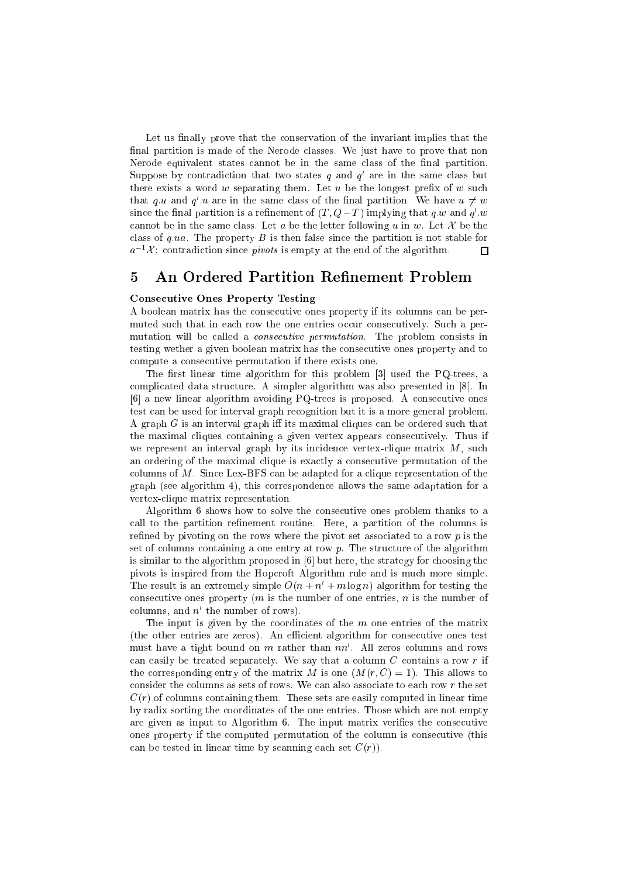Let us finally prove that the conservation of the invariant implies that the final partition is made of the Nerode classes. We just have to prove that non Nerode equivalent states cannot be in the same class of the final partition. Suppose by contradiction that two states  $q$  and  $q^{\cdot}$  are in the same class but there exists a word  $w$  separating them. Let  $u$  be the longest prefix of  $w$  such that  $q.u$  and  $q'.u$  are in the same class of the final partition. We have  $u\neq w$ since the final partition is a refinement of  $(T, Q - T)$  implying that q,w and  $q'.w$ cannot be in the same class. Let a be the letter following u in w. Let  $\mathcal X$  be the class of  $q.ua$ . The property  $B$  is then false since the partition is not stable for П  $a^{-1}\mathcal{X}$  : contradiction since  $\emph{pivots}$  is empty at the end of the algorithm.

# 5 An Ordered Partition Refinement Problem

## Consecutive Ones Property Testing

A boolean matrix has the consecutive ones property if its columns can be permuted such that in each row the one entries occur consecutively. Such a permutation will be called a consecutive permutation. The problem consists in testing wether a given boolean matrix has the consecutive ones property and to compute a consecutive permutation if there exists one.

The first linear time algorithm for this problem [3] used the PQ-trees, a complicated data structure. A simpler algorithm was also presented in [8]. In [6] a new linear algorithm avoiding PQ-trees is proposed. A consecutive ones test can be used for interval graph recognition but it is a more general problem. A graph  $G$  is an interval graph iff its maximal cliques can be ordered such that the maximal cliques containing a given vertex appears consecutively. Thus if we represent an interval graph by its incidence vertex-clique matrix  $M$ , such an ordering of the maximal clique is exactly a consecutive permutation of the columns of M. Since Lex-BFS can be adapted for a clique representation of the graph (see algorithm 4), this correspondence allows the same adaptation for a vertex-clique matrix representation.

Algorithm 6 shows how to solve the consecutive ones problem thanks to a call to the partition refinement routine. Here, a partition of the columns is refined by pivoting on the rows where the pivot set associated to a row  $p$  is the set of columns containing a one entry at row  $p$ . The structure of the algorithm is similar to the algorithm proposed in [6] but here, the strategy for choosing the pivots is inspired from the Hopcroft Algorithm rule and is much more simple. The result is an extremely simple  $O(n + n' + m \log n)$  algorithm for testing the consecutive ones property  $(m \text{ is the number of one entries}, n \text{ is the number of})$ columns, and  $n^{\circ}$  the number of rows).

The input is given by the coordinates of the  $m$  one entries of the matrix  $(the other entries are zeros).$  An efficient algorithm for consecutive ones test must have a tight bound on  $m$  rather than  $nn'$ . All zeros columns and rows can easily be treated separately. We say that a column  $C$  contains a row  $r$  if the corresponding entry of the matrix M is one  $(M(r, C) = 1)$ . This allows to consider the columns as sets of rows. We can also associate to each row  $r$  the set  $C(r)$  of columns containing them. These sets are easily computed in linear time by radix sorting the coordinates of the one entries. Those which are not empty are given as input to Algorithm 6. The input matrix verifies the consecutive ones property if the computed permutation of the column is consecutive (this can be tested in linear time by scanning each set  $C(r)$ .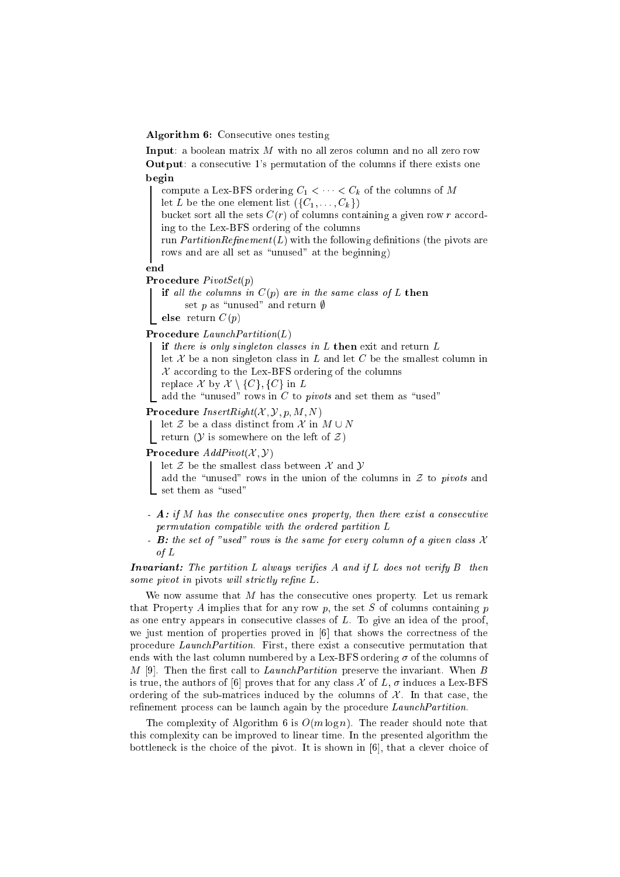#### Algorithm 6: Consecutive ones testing

Input: a boolean matrix M with no all zeros column and no all zero row Output: a consecutive 1's permutation of the columns if there exists one begin

compute a Lex-BFS ordering  $C_1 < \cdots < C_k$  of the columns of M

let L be the one element list  $({C_1},\ldots,{C_k})$ 

bucket sort all the sets  $C(r)$  of columns containing a given row r according to the Lex-BFS ordering of the columns

run  $PartitionRefinement(L)$  with the following definitions (the pivots are rows and are all set as "unused" at the beginning)

end

Procedure PivotSet(p)

if all the columns in  $C(p)$  are in the same class of L then set p as "unused" and return  $\emptyset$ 

else return  $C(p)$ 

Procedure LaunchPartition(L)

if there is only singleton classes in  $L$  then exit and return  $L$ 

let  $X$  be a non singleton class in  $L$  and let  $C$  be the smallest column in

 $\mathcal{L}$  according to the Lex-BFS ordering of the columns replace  $\mathcal X$  by  $\mathcal X \setminus \{C\}, \{C\}$  in L

add the "unused" rows in C to *pivots* and set them as "used"

Procedure  $InsertRight(X, Y, p, M, N)$ 

let  $\mathcal Z$  be a class distinct from  $\mathcal X$  in  $M \cup N$ 

return ( $\mathcal Y$  is somewhere on the left of  $\mathcal Z$ )

**Procedure**  $AddPivot(X, Y)$ 

let  $\mathcal Z$  be the smallest class between  $\mathcal X$  and  $\mathcal Y$ 

add the "unused" rows in the union of the columns in  $\mathcal Z$  to pivots and  $\_$  set them as "used"

- $-$  **A**: if M has the consecutive ones property, then there exist a consecutive permutation compatible with the ordered partition L
- **B**: the set of "used" rows is the same for every column of a given class  $\mathcal{X}$ of L

**Invariant:** The partition L always verifies  $A$  and if L does not verify  $B$  then some pivot in pivots will strictly refine  $L$ .

We now assume that  $M$  has the consecutive ones property. Let us remark that Property A implies that for any row  $p$ , the set S of columns containing  $p$ as one entry appears in consecutive classes of  $L$ . To give an idea of the proof, we just mention of properties proved in [6] that shows the correctness of the procedure LaunchPartition. First, there exist a consecutive permutation that ends with the last column numbered by a Lex-BFS ordering  $\sigma$  of the columns of M [9]. Then the first call to Launch Partition preserve the invariant. When B is true, the authors of [6] proves that for any class  $\mathcal X$  of  $L$ ,  $\sigma$  induces a Lex-BFS ordering of the sub-matrices induced by the columns of  $\mathcal{X}$ . In that case, the refinement process can be launch again by the procedure *LaunchPartition*.

The complexity of Algorithm 6 is  $O(m \log n)$ . The reader should note that this complexity can be improved to linear time. In the presented algorithm the bottleneck is the choice of the pivot. It is shown in [6], that a clever choice of